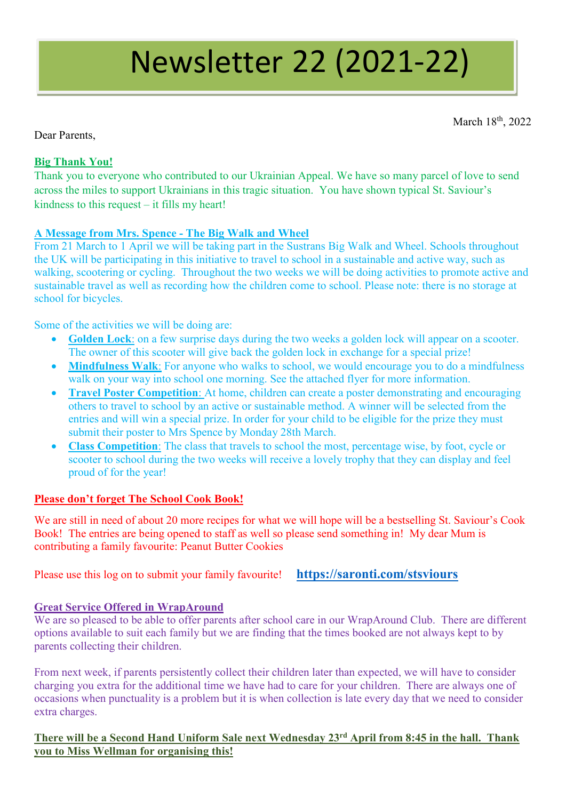# Newsletter 22 (2021-22)

March 18<sup>th</sup>, 2022

Dear Parents,

## **Big Thank You!**

Thank you to everyone who contributed to our Ukrainian Appeal. We have so many parcel of love to send across the miles to support Ukrainians in this tragic situation. You have shown typical St. Saviour's kindness to this request – it fills my heart!

## **A Message from Mrs. Spence - The Big Walk and Wheel**

From 21 March to 1 April we will be taking part in the Sustrans Big Walk and Wheel. Schools throughout the UK will be participating in this initiative to travel to school in a sustainable and active way, such as walking, scootering or cycling. Throughout the two weeks we will be doing activities to promote active and sustainable travel as well as recording how the children come to school. Please note: there is no storage at school for bicycles.

Some of the activities we will be doing are:

- **Golden Lock**: on a few surprise days during the two weeks a golden lock will appear on a scooter. The owner of this scooter will give back the golden lock in exchange for a special prize!
- **Mindfulness Walk**: For anyone who walks to school, we would encourage you to do a mindfulness walk on your way into school one morning. See the attached flyer for more information.
- **Travel Poster Competition:** At home, children can create a poster demonstrating and encouraging others to travel to school by an active or sustainable method. A winner will be selected from the entries and will win a special prize. In order for your child to be eligible for the prize they must submit their poster to Mrs Spence by Monday 28th March.
- **Class Competition**: The class that travels to school the most, percentage wise, by foot, cycle or scooter to school during the two weeks will receive a lovely trophy that they can display and feel proud of for the year!

## **Please don't forget The School Cook Book!**

We are still in need of about 20 more recipes for what we will hope will be a bestselling St. Saviour's Cook Book! The entries are being opened to staff as well so please send something in! My dear Mum is contributing a family favourite: Peanut Butter Cookies

Please use this log on to submit your family favourite! **<https://saronti.com/stsviours>**

## **Great Service Offered in WrapAround**

We are so pleased to be able to offer parents after school care in our WrapAround Club. There are different options available to suit each family but we are finding that the times booked are not always kept to by parents collecting their children.

From next week, if parents persistently collect their children later than expected, we will have to consider charging you extra for the additional time we have had to care for your children. There are always one of occasions when punctuality is a problem but it is when collection is late every day that we need to consider extra charges.

### **There will be a Second Hand Uniform Sale next Wednesday 23rd April from 8:45 in the hall. Thank you to Miss Wellman for organising this!**